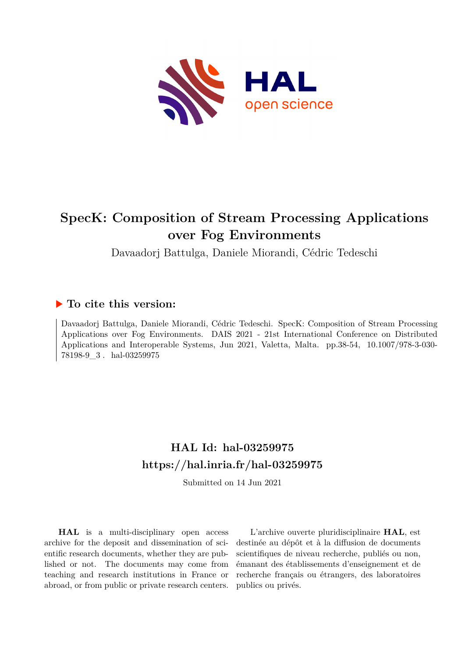

# **SpecK: Composition of Stream Processing Applications over Fog Environments**

Davaadorj Battulga, Daniele Miorandi, Cédric Tedeschi

# **To cite this version:**

Davaadorj Battulga, Daniele Miorandi, Cédric Tedeschi. SpecK: Composition of Stream Processing Applications over Fog Environments. DAIS 2021 - 21st International Conference on Distributed Applications and Interoperable Systems, Jun 2021, Valetta, Malta. pp.38-54, 10.1007/978-3-030-78198-9 3. hal-03259975

# **HAL Id: hal-03259975 <https://hal.inria.fr/hal-03259975>**

Submitted on 14 Jun 2021

**HAL** is a multi-disciplinary open access archive for the deposit and dissemination of scientific research documents, whether they are published or not. The documents may come from teaching and research institutions in France or abroad, or from public or private research centers.

L'archive ouverte pluridisciplinaire **HAL**, est destinée au dépôt et à la diffusion de documents scientifiques de niveau recherche, publiés ou non, émanant des établissements d'enseignement et de recherche français ou étrangers, des laboratoires publics ou privés.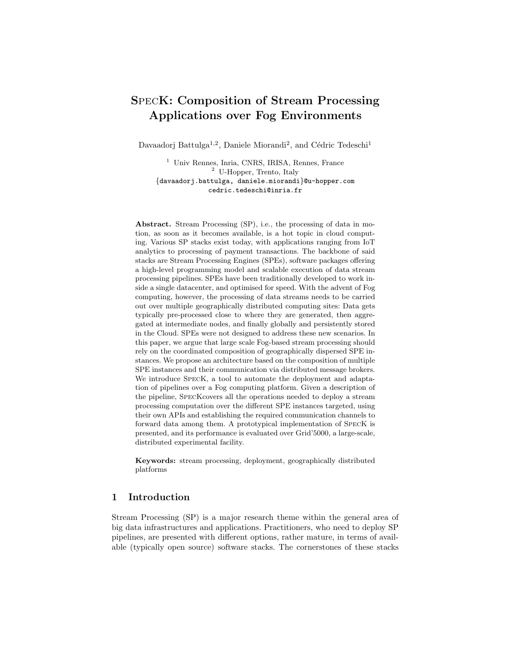# SpecK: Composition of Stream Processing Applications over Fog Environments

Davaadorj Battulga<sup>1,2</sup>, Daniele Miorandi<sup>2</sup>, and Cédric Tedeschi<sup>1</sup>

<sup>1</sup> Univ Rennes, Inria, CNRS, IRISA, Rennes, France <sup>2</sup> U-Hopper, Trento, Italy {davaadorj.battulga, daniele.miorandi}@u-hopper.com cedric.tedeschi@inria.fr

Abstract. Stream Processing (SP), i.e., the processing of data in motion, as soon as it becomes available, is a hot topic in cloud computing. Various SP stacks exist today, with applications ranging from IoT analytics to processing of payment transactions. The backbone of said stacks are Stream Processing Engines (SPEs), software packages offering a high-level programming model and scalable execution of data stream processing pipelines. SPEs have been traditionally developed to work inside a single datacenter, and optimised for speed. With the advent of Fog computing, however, the processing of data streams needs to be carried out over multiple geographically distributed computing sites: Data gets typically pre-processed close to where they are generated, then aggregated at intermediate nodes, and finally globally and persistently stored in the Cloud. SPEs were not designed to address these new scenarios. In this paper, we argue that large scale Fog-based stream processing should rely on the coordinated composition of geographically dispersed SPE instances. We propose an architecture based on the composition of multiple SPE instances and their communication via distributed message brokers. We introduce SpecK, a tool to automate the deployment and adaptation of pipelines over a Fog computing platform. Given a description of the pipeline, SpecKcovers all the operations needed to deploy a stream processing computation over the different SPE instances targeted, using their own APIs and establishing the required communication channels to forward data among them. A prototypical implementation of SpecK is presented, and its performance is evaluated over Grid'5000, a large-scale, distributed experimental facility.

Keywords: stream processing, deployment, geographically distributed platforms

# 1 Introduction

Stream Processing (SP) is a major research theme within the general area of big data infrastructures and applications. Practitioners, who need to deploy SP pipelines, are presented with different options, rather mature, in terms of available (typically open source) software stacks. The cornerstones of these stacks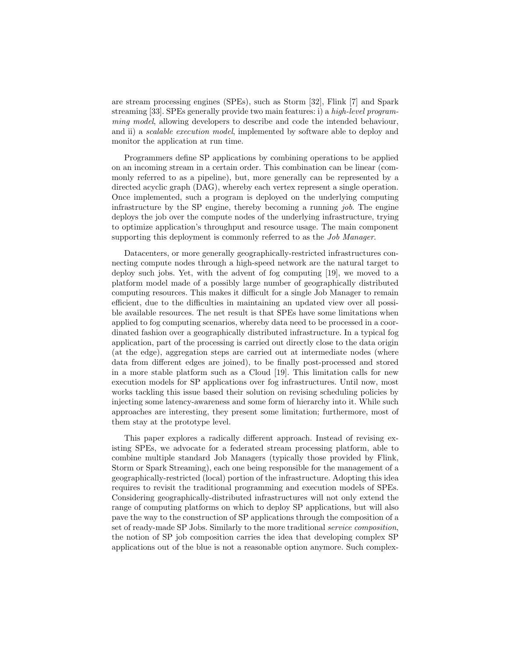are stream processing engines (SPEs), such as Storm [32], Flink [7] and Spark streaming [33]. SPEs generally provide two main features: i) a high-level programming model, allowing developers to describe and code the intended behaviour, and ii) a scalable execution model, implemented by software able to deploy and monitor the application at run time.

Programmers define SP applications by combining operations to be applied on an incoming stream in a certain order. This combination can be linear (commonly referred to as a pipeline), but, more generally can be represented by a directed acyclic graph (DAG), whereby each vertex represent a single operation. Once implemented, such a program is deployed on the underlying computing infrastructure by the SP engine, thereby becoming a running job. The engine deploys the job over the compute nodes of the underlying infrastructure, trying to optimize application's throughput and resource usage. The main component supporting this deployment is commonly referred to as the *Job Manager*.

Datacenters, or more generally geographically-restricted infrastructures connecting compute nodes through a high-speed network are the natural target to deploy such jobs. Yet, with the advent of fog computing [19], we moved to a platform model made of a possibly large number of geographically distributed computing resources. This makes it difficult for a single Job Manager to remain efficient, due to the difficulties in maintaining an updated view over all possible available resources. The net result is that SPEs have some limitations when applied to fog computing scenarios, whereby data need to be processed in a coordinated fashion over a geographically distributed infrastructure. In a typical fog application, part of the processing is carried out directly close to the data origin (at the edge), aggregation steps are carried out at intermediate nodes (where data from different edges are joined), to be finally post-processed and stored in a more stable platform such as a Cloud [19]. This limitation calls for new execution models for SP applications over fog infrastructures. Until now, most works tackling this issue based their solution on revising scheduling policies by injecting some latency-awareness and some form of hierarchy into it. While such approaches are interesting, they present some limitation; furthermore, most of them stay at the prototype level.

This paper explores a radically different approach. Instead of revising existing SPEs, we advocate for a federated stream processing platform, able to combine multiple standard Job Managers (typically those provided by Flink, Storm or Spark Streaming), each one being responsible for the management of a geographically-restricted (local) portion of the infrastructure. Adopting this idea requires to revisit the traditional programming and execution models of SPEs. Considering geographically-distributed infrastructures will not only extend the range of computing platforms on which to deploy SP applications, but will also pave the way to the construction of SP applications through the composition of a set of ready-made SP Jobs. Similarly to the more traditional service composition, the notion of SP job composition carries the idea that developing complex SP applications out of the blue is not a reasonable option anymore. Such complex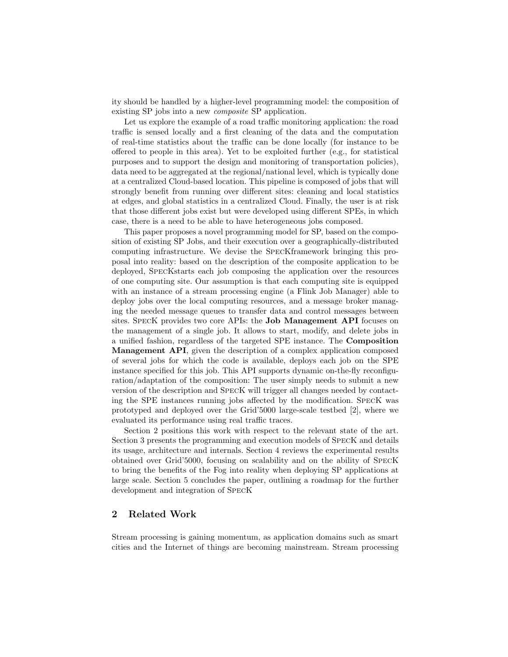ity should be handled by a higher-level programming model: the composition of existing SP jobs into a new composite SP application.

Let us explore the example of a road traffic monitoring application: the road traffic is sensed locally and a first cleaning of the data and the computation of real-time statistics about the traffic can be done locally (for instance to be offered to people in this area). Yet to be exploited further (e.g., for statistical purposes and to support the design and monitoring of transportation policies), data need to be aggregated at the regional/national level, which is typically done at a centralized Cloud-based location. This pipeline is composed of jobs that will strongly benefit from running over different sites: cleaning and local statistics at edges, and global statistics in a centralized Cloud. Finally, the user is at risk that those different jobs exist but were developed using different SPEs, in which case, there is a need to be able to have heterogeneous jobs composed.

This paper proposes a novel programming model for SP, based on the composition of existing SP Jobs, and their execution over a geographically-distributed computing infrastructure. We devise the SpecKframework bringing this proposal into reality: based on the description of the composite application to be deployed, SpecKstarts each job composing the application over the resources of one computing site. Our assumption is that each computing site is equipped with an instance of a stream processing engine (a Flink Job Manager) able to deploy jobs over the local computing resources, and a message broker managing the needed message queues to transfer data and control messages between sites. SpecK provides two core APIs: the Job Management API focuses on the management of a single job. It allows to start, modify, and delete jobs in a unified fashion, regardless of the targeted SPE instance. The Composition Management API, given the description of a complex application composed of several jobs for which the code is available, deploys each job on the SPE instance specified for this job. This API supports dynamic on-the-fly reconfiguration/adaptation of the composition: The user simply needs to submit a new version of the description and SpecK will trigger all changes needed by contacting the SPE instances running jobs affected by the modification. SpecK was prototyped and deployed over the Grid'5000 large-scale testbed [2], where we evaluated its performance using real traffic traces.

Section 2 positions this work with respect to the relevant state of the art. Section 3 presents the programming and execution models of SpecK and details its usage, architecture and internals. Section 4 reviews the experimental results obtained over Grid'5000, focusing on scalability and on the ability of SpecK to bring the benefits of the Fog into reality when deploying SP applications at large scale. Section 5 concludes the paper, outlining a roadmap for the further development and integration of SpecK

# 2 Related Work

Stream processing is gaining momentum, as application domains such as smart cities and the Internet of things are becoming mainstream. Stream processing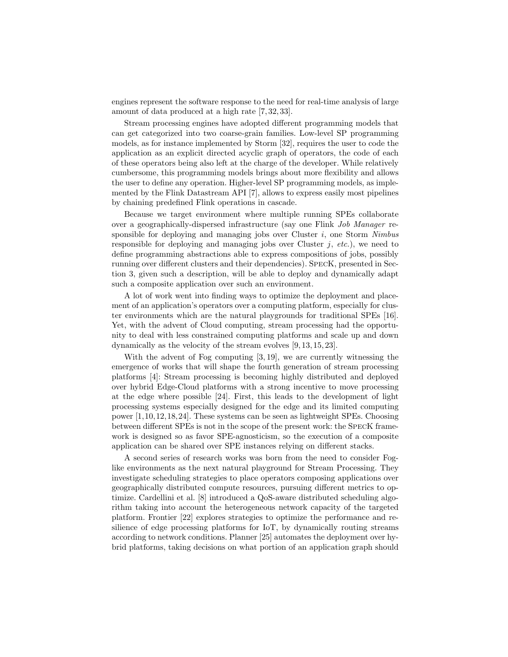engines represent the software response to the need for real-time analysis of large amount of data produced at a high rate [7, 32, 33].

Stream processing engines have adopted different programming models that can get categorized into two coarse-grain families. Low-level SP programming models, as for instance implemented by Storm [32], requires the user to code the application as an explicit directed acyclic graph of operators, the code of each of these operators being also left at the charge of the developer. While relatively cumbersome, this programming models brings about more flexibility and allows the user to define any operation. Higher-level SP programming models, as implemented by the Flink Datastream API [7], allows to express easily most pipelines by chaining predefined Flink operations in cascade.

Because we target environment where multiple running SPEs collaborate over a geographically-dispersed infrastructure (say one Flink Job Manager responsible for deploying and managing jobs over Cluster  $i$ , one Storm Nimbus responsible for deploying and managing jobs over Cluster  $j$ ,  $etc.$ ), we need to define programming abstractions able to express compositions of jobs, possibly running over different clusters and their dependencies). SpecK, presented in Section 3, given such a description, will be able to deploy and dynamically adapt such a composite application over such an environment.

A lot of work went into finding ways to optimize the deployment and placement of an application's operators over a computing platform, especially for cluster environments which are the natural playgrounds for traditional SPEs [16]. Yet, with the advent of Cloud computing, stream processing had the opportunity to deal with less constrained computing platforms and scale up and down dynamically as the velocity of the stream evolves [9, 13, 15, 23].

With the advent of Fog computing [3, 19], we are currently witnessing the emergence of works that will shape the fourth generation of stream processing platforms [4]: Stream processing is becoming highly distributed and deployed over hybrid Edge-Cloud platforms with a strong incentive to move processing at the edge where possible [24]. First, this leads to the development of light processing systems especially designed for the edge and its limited computing power [1,10,12,18,24]. These systems can be seen as lightweight SPEs. Choosing between different SPEs is not in the scope of the present work: the SpecK framework is designed so as favor SPE-agnosticism, so the execution of a composite application can be shared over SPE instances relying on different stacks.

A second series of research works was born from the need to consider Foglike environments as the next natural playground for Stream Processing. They investigate scheduling strategies to place operators composing applications over geographically distributed compute resources, pursuing different metrics to optimize. Cardellini et al. [8] introduced a QoS-aware distributed scheduling algorithm taking into account the heterogeneous network capacity of the targeted platform. Frontier [22] explores strategies to optimize the performance and resilience of edge processing platforms for IoT, by dynamically routing streams according to network conditions. Planner [25] automates the deployment over hybrid platforms, taking decisions on what portion of an application graph should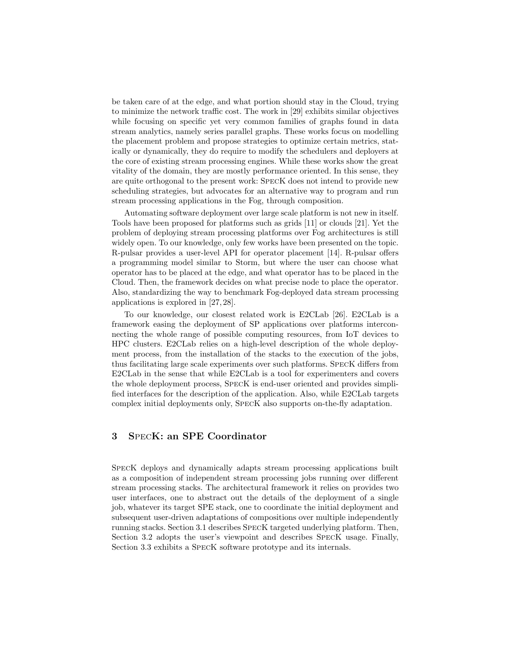be taken care of at the edge, and what portion should stay in the Cloud, trying to minimize the network traffic cost. The work in [29] exhibits similar objectives while focusing on specific yet very common families of graphs found in data stream analytics, namely series parallel graphs. These works focus on modelling the placement problem and propose strategies to optimize certain metrics, statically or dynamically, they do require to modify the schedulers and deployers at the core of existing stream processing engines. While these works show the great vitality of the domain, they are mostly performance oriented. In this sense, they are quite orthogonal to the present work: SpecK does not intend to provide new scheduling strategies, but advocates for an alternative way to program and run stream processing applications in the Fog, through composition.

Automating software deployment over large scale platform is not new in itself. Tools have been proposed for platforms such as grids [11] or clouds [21]. Yet the problem of deploying stream processing platforms over Fog architectures is still widely open. To our knowledge, only few works have been presented on the topic. R-pulsar provides a user-level API for operator placement [14]. R-pulsar offers a programming model similar to Storm, but where the user can choose what operator has to be placed at the edge, and what operator has to be placed in the Cloud. Then, the framework decides on what precise node to place the operator. Also, standardizing the way to benchmark Fog-deployed data stream processing applications is explored in [27, 28].

To our knowledge, our closest related work is E2CLab [26]. E2CLab is a framework easing the deployment of SP applications over platforms interconnecting the whole range of possible computing resources, from IoT devices to HPC clusters. E2CLab relies on a high-level description of the whole deployment process, from the installation of the stacks to the execution of the jobs, thus facilitating large scale experiments over such platforms. SpecK differs from E2CLab in the sense that while E2CLab is a tool for experimenters and covers the whole deployment process, SpecK is end-user oriented and provides simplified interfaces for the description of the application. Also, while E2CLab targets complex initial deployments only, SpecK also supports on-the-fly adaptation.

## 3 SpecK: an SPE Coordinator

SpecK deploys and dynamically adapts stream processing applications built as a composition of independent stream processing jobs running over different stream processing stacks. The architectural framework it relies on provides two user interfaces, one to abstract out the details of the deployment of a single job, whatever its target SPE stack, one to coordinate the initial deployment and subsequent user-driven adaptations of compositions over multiple independently running stacks. Section 3.1 describes SpecK targeted underlying platform. Then, Section 3.2 adopts the user's viewpoint and describes SpecK usage. Finally, Section 3.3 exhibits a SpecK software prototype and its internals.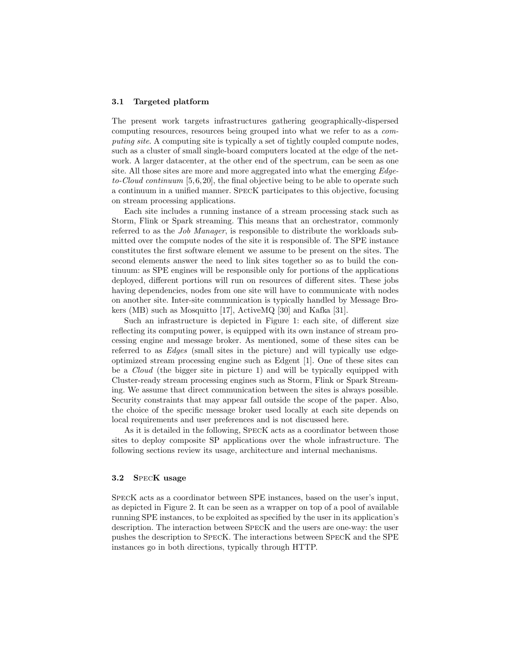#### 3.1 Targeted platform

The present work targets infrastructures gathering geographically-dispersed computing resources, resources being grouped into what we refer to as a computing site. A computing site is typically a set of tightly coupled compute nodes, such as a cluster of small single-board computers located at the edge of the network. A larger datacenter, at the other end of the spectrum, can be seen as one site. All those sites are more and more aggregated into what the emerging Edgeto-Cloud continuum [5,6,20], the final objective being to be able to operate such a continuum in a unified manner. SpecK participates to this objective, focusing on stream processing applications.

Each site includes a running instance of a stream processing stack such as Storm, Flink or Spark streaming. This means that an orchestrator, commonly referred to as the Job Manager, is responsible to distribute the workloads submitted over the compute nodes of the site it is responsible of. The SPE instance constitutes the first software element we assume to be present on the sites. The second elements answer the need to link sites together so as to build the continuum: as SPE engines will be responsible only for portions of the applications deployed, different portions will run on resources of different sites. These jobs having dependencies, nodes from one site will have to communicate with nodes on another site. Inter-site communication is typically handled by Message Brokers (MB) such as Mosquitto [17], ActiveMQ [30] and Kafka [31].

Such an infrastructure is depicted in Figure 1: each site, of different size reflecting its computing power, is equipped with its own instance of stream processing engine and message broker. As mentioned, some of these sites can be referred to as Edges (small sites in the picture) and will typically use edgeoptimized stream processing engine such as Edgent [1]. One of these sites can be a Cloud (the bigger site in picture 1) and will be typically equipped with Cluster-ready stream processing engines such as Storm, Flink or Spark Streaming. We assume that direct communication between the sites is always possible. Security constraints that may appear fall outside the scope of the paper. Also, the choice of the specific message broker used locally at each site depends on local requirements and user preferences and is not discussed here.

As it is detailed in the following, SpecK acts as a coordinator between those sites to deploy composite SP applications over the whole infrastructure. The following sections review its usage, architecture and internal mechanisms.

#### 3.2 SpecK usage

SpecK acts as a coordinator between SPE instances, based on the user's input, as depicted in Figure 2. It can be seen as a wrapper on top of a pool of available running SPE instances, to be exploited as specified by the user in its application's description. The interaction between SpecK and the users are one-way: the user pushes the description to SpecK. The interactions between SpecK and the SPE instances go in both directions, typically through HTTP.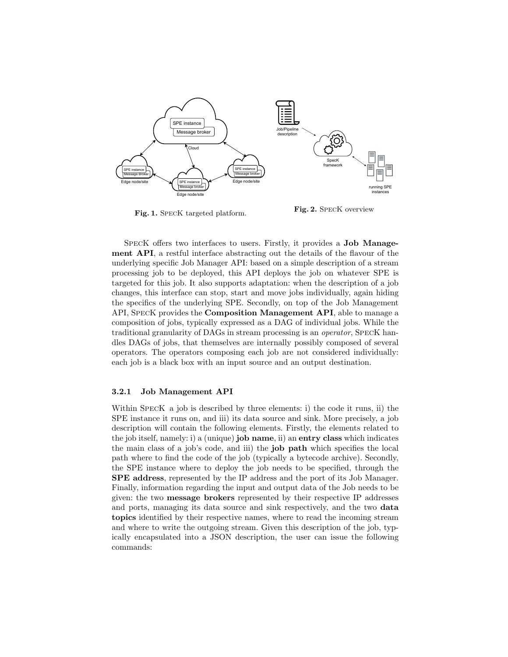

Fig. 1. SpecK targeted platform. Fig. 2. SpecK overview

SpecK offers two interfaces to users. Firstly, it provides a Job Management API, a restful interface abstracting out the details of the flavour of the underlying specific Job Manager API: based on a simple description of a stream processing job to be deployed, this API deploys the job on whatever SPE is targeted for this job. It also supports adaptation: when the description of a job changes, this interface can stop, start and move jobs individually, again hiding the specifics of the underlying SPE. Secondly, on top of the Job Management API, SPECK provides the **Composition Management API**, able to manage a composition of jobs, typically expressed as a DAG of individual jobs. While the traditional granularity of DAGs in stream processing is an operator, SpecK handles DAGs of jobs, that themselves are internally possibly composed of several operators. The operators composing each job are not considered individually: each job is a black box with an input source and an output destination.

#### 3.2.1 Job Management API

Within SpecK a job is described by three elements: i) the code it runs, ii) the SPE instance it runs on, and iii) its data source and sink. More precisely, a job description will contain the following elements. Firstly, the elements related to the job itself, namely: i) a (unique) job name, ii) an entry class which indicates the main class of a job's code, and iii) the job path which specifies the local path where to find the code of the job (typically a bytecode archive). Secondly, the SPE instance where to deploy the job needs to be specified, through the SPE address, represented by the IP address and the port of its Job Manager. Finally, information regarding the input and output data of the Job needs to be given: the two message brokers represented by their respective IP addresses and ports, managing its data source and sink respectively, and the two data topics identified by their respective names, where to read the incoming stream and where to write the outgoing stream. Given this description of the job, typically encapsulated into a JSON description, the user can issue the following commands: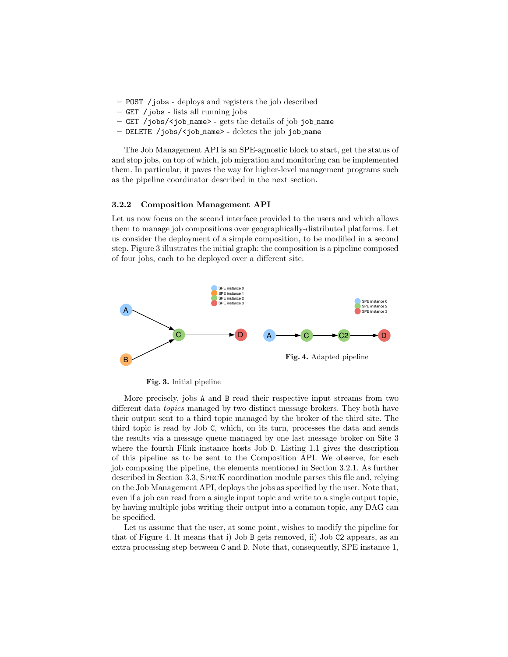- POST /jobs deploys and registers the job described
- GET /jobs lists all running jobs
- GET /jobs/<job name> gets the details of job job name
- DELETE /jobs/<job name> deletes the job job name

The Job Management API is an SPE-agnostic block to start, get the status of and stop jobs, on top of which, job migration and monitoring can be implemented them. In particular, it paves the way for higher-level management programs such as the pipeline coordinator described in the next section.

#### 3.2.2 Composition Management API

Let us now focus on the second interface provided to the users and which allows them to manage job compositions over geographically-distributed platforms. Let us consider the deployment of a simple composition, to be modified in a second step. Figure 3 illustrates the initial graph: the composition is a pipeline composed of four jobs, each to be deployed over a different site.



Fig. 3. Initial pipeline

More precisely, jobs A and B read their respective input streams from two different data topics managed by two distinct message brokers. They both have their output sent to a third topic managed by the broker of the third site. The third topic is read by Job C, which, on its turn, processes the data and sends the results via a message queue managed by one last message broker on Site 3 where the fourth Flink instance hosts Job D. Listing 1.1 gives the description of this pipeline as to be sent to the Composition API. We observe, for each job composing the pipeline, the elements mentioned in Section 3.2.1. As further described in Section 3.3, SpecK coordination module parses this file and, relying on the Job Management API, deploys the jobs as specified by the user. Note that, even if a job can read from a single input topic and write to a single output topic, by having multiple jobs writing their output into a common topic, any DAG can be specified.

Let us assume that the user, at some point, wishes to modify the pipeline for that of Figure 4. It means that i) Job B gets removed, ii) Job C2 appears, as an extra processing step between C and D. Note that, consequently, SPE instance 1,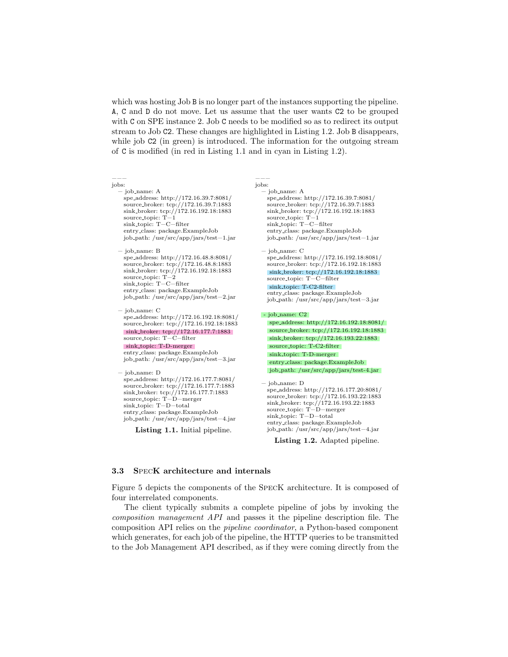which was hosting Job B is no longer part of the instances supporting the pipeline. A, C and D do not move. Let us assume that the user wants C2 to be grouped with C on SPE instance 2. Job C needs to be modified so as to redirect its output stream to Job C2. These changes are highlighted in Listing 1.2. Job B disappears, while job  $C2$  (in green) is introduced. The information for the outgoing stream of C is modified (in red in Listing 1.1 and in cyan in Listing 1.2).

———<br>jobs: − job name: A spe address: http://172.16.39.7:8081/ source\_broker: tcp://172.16.39.7:1883 sink broker: tcp://172.16.192.18:1883 source topic: T−1 sink topic: T−C−filter entry class: package.ExampleJob job path: /usr/src/app/jars/test−1.jar − job name: B spe address: http://172.16.48.8:8081/ source broker: tcp://172.16.48.8:1883 sink broker: tcp://172.16.192.18:1883 source topic: T−2 sink topic: T−C−filter entry class: package.ExampleJob job path: /usr/src/app/jars/test−2.jar − job name: C spe address: http://172.16.192.18:8081/ source broker: tcp://172.16.192.18:1883 sink broker: tcp://172.16.177.7:1883 source topic: T−C−filter sink topic: T-D-merger entry class: package.ExampleJob job path: /usr/src/app/jars/test−3.jar − job name: D spe address: http://172.16.177.7:8081/ source broker: tcp://172.16.177.7:1883 sink broker: tcp://172.16.177.7:1883 source topic: T−D−merger sink topic: T−D−total entry class: package.ExampleJob job path: /usr/src/app/jars/test−4.jar Listing 1.1. Initial pipeline. ———<br>jobs: − job name: A spe address: http://172.16.39.7:8081/ source broker: tcp://172.16.39.7:1883 sink broker: tcp://172.16.192.18:1883 source\_topic: T-1 sink topic: T−C−filter entry class: package.ExampleJob job path: /usr/src/app/jars/test−1.jar − job name: C spe address: http://172.16.192.18:8081/ source broker: tcp://172.16.192.18:1883 sink broker: tcp://172.16.192.18:1883 source topic: T−C−filter sink topic: T-C2-filter entry class: package.ExampleJob job path: /usr/src/app/jars/test−3.jar - job name: C2 spe address: http://172.16.192.18:8081/ source broker: tcp://172.16.192.18:1883 sink broker: tcp://172.16.193.22:1883 source topic: T-C2-filter sink topic: T-D-merger entry class: package.ExampleJob job path: /usr/src/app/jars/test-4.jar − job name: D spe address: http://172.16.177.20:8081/ source broker: tcp://172.16.193.22:1883 sink broker: tcp://172.16.193.22:1883 source topic: T−D−merger sink topic: T−D−total entry class: package.ExampleJob job path: /usr/src/app/jars/test−4.jar Listing 1.2. Adapted pipeline.

#### 3.3 SpecK architecture and internals

Figure 5 depicts the components of the SpecK architecture. It is composed of four interrelated components.

The client typically submits a complete pipeline of jobs by invoking the composition management API and passes it the pipeline description file. The composition API relies on the pipeline coordinator, a Python-based component which generates, for each job of the pipeline, the HTTP queries to be transmitted to the Job Management API described, as if they were coming directly from the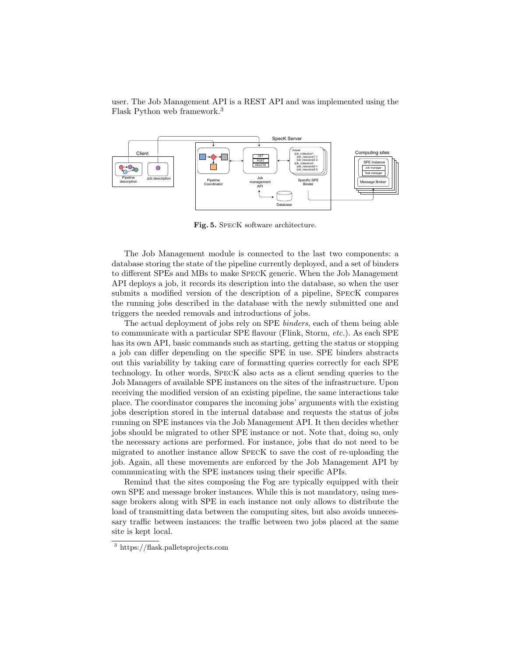user. The Job Management API is a REST API and was implemented using the Flask Python web framework.<sup>3</sup>



Fig. 5. SpecK software architecture.

The Job Management module is connected to the last two components: a database storing the state of the pipeline currently deployed, and a set of binders to different SPEs and MBs to make SpecK generic. When the Job Management API deploys a job, it records its description into the database, so when the user submits a modified version of the description of a pipeline, SpecK compares the running jobs described in the database with the newly submitted one and triggers the needed removals and introductions of jobs.

The actual deployment of jobs rely on SPE binders, each of them being able to communicate with a particular SPE flavour (Flink, Storm, etc.). As each SPE has its own API, basic commands such as starting, getting the status or stopping a job can differ depending on the specific SPE in use. SPE binders abstracts out this variability by taking care of formatting queries correctly for each SPE technology. In other words, SpecK also acts as a client sending queries to the Job Managers of available SPE instances on the sites of the infrastructure. Upon receiving the modified version of an existing pipeline, the same interactions take place. The coordinator compares the incoming jobs' arguments with the existing jobs description stored in the internal database and requests the status of jobs running on SPE instances via the Job Management API. It then decides whether jobs should be migrated to other SPE instance or not. Note that, doing so, only the necessary actions are performed. For instance, jobs that do not need to be migrated to another instance allow SpecK to save the cost of re-uploading the job. Again, all these movements are enforced by the Job Management API by communicating with the SPE instances using their specific APIs.

Remind that the sites composing the Fog are typically equipped with their own SPE and message broker instances. While this is not mandatory, using message brokers along with SPE in each instance not only allows to distribute the load of transmitting data between the computing sites, but also avoids unnecessary traffic between instances: the traffic between two jobs placed at the same site is kept local.

<sup>3</sup> https://flask.palletsprojects.com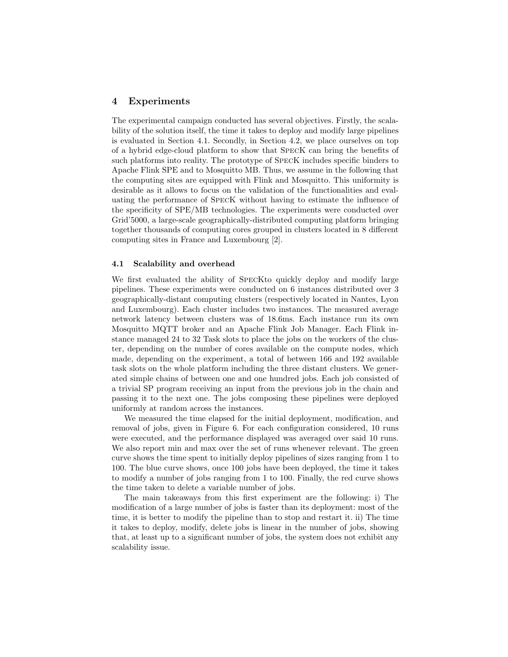### 4 Experiments

The experimental campaign conducted has several objectives. Firstly, the scalability of the solution itself, the time it takes to deploy and modify large pipelines is evaluated in Section 4.1. Secondly, in Section 4.2, we place ourselves on top of a hybrid edge-cloud platform to show that SpecK can bring the benefits of such platforms into reality. The prototype of SPECK includes specific binders to Apache Flink SPE and to Mosquitto MB. Thus, we assume in the following that the computing sites are equipped with Flink and Mosquitto. This uniformity is desirable as it allows to focus on the validation of the functionalities and evaluating the performance of SpecK without having to estimate the influence of the specificity of SPE/MB technologies. The experiments were conducted over Grid'5000, a large-scale geographically-distributed computing platform bringing together thousands of computing cores grouped in clusters located in 8 different computing sites in France and Luxembourg [2].

#### 4.1 Scalability and overhead

We first evaluated the ability of SpecKto quickly deploy and modify large pipelines. These experiments were conducted on 6 instances distributed over 3 geographically-distant computing clusters (respectively located in Nantes, Lyon and Luxembourg). Each cluster includes two instances. The measured average network latency between clusters was of 18.6ms. Each instance run its own Mosquitto MQTT broker and an Apache Flink Job Manager. Each Flink instance managed 24 to 32 Task slots to place the jobs on the workers of the cluster, depending on the number of cores available on the compute nodes, which made, depending on the experiment, a total of between 166 and 192 available task slots on the whole platform including the three distant clusters. We generated simple chains of between one and one hundred jobs. Each job consisted of a trivial SP program receiving an input from the previous job in the chain and passing it to the next one. The jobs composing these pipelines were deployed uniformly at random across the instances.

We measured the time elapsed for the initial deployment, modification, and removal of jobs, given in Figure 6. For each configuration considered, 10 runs were executed, and the performance displayed was averaged over said 10 runs. We also report min and max over the set of runs whenever relevant. The green curve shows the time spent to initially deploy pipelines of sizes ranging from 1 to 100. The blue curve shows, once 100 jobs have been deployed, the time it takes to modify a number of jobs ranging from 1 to 100. Finally, the red curve shows the time taken to delete a variable number of jobs.

The main takeaways from this first experiment are the following: i) The modification of a large number of jobs is faster than its deployment: most of the time, it is better to modify the pipeline than to stop and restart it. ii) The time it takes to deploy, modify, delete jobs is linear in the number of jobs, showing that, at least up to a significant number of jobs, the system does not exhibit any scalability issue.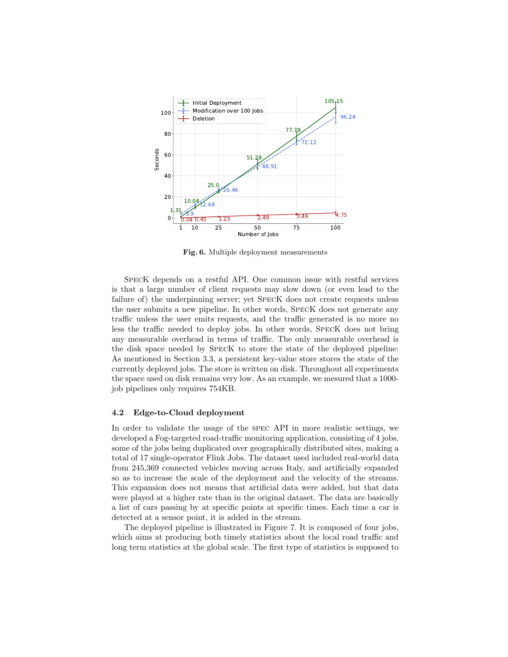

Fig. 6. Multiple deployment measurements

SpecK depends on a restful API. One common issue with restful services is that a large number of client requests may slow down (or even lead to the failure of) the underpinning server; yet SpecK does not create requests unless the user submits a new pipeline. In other words, SpecK does not generate any traffic unless the user emits requests, and the traffic generated is no more no less the traffic needed to deploy jobs. In other words, SpecK does not bring any measurable overhead in terms of traffic. The only measurable overhead is the disk space needed by SpecK to store the state of the deployed pipeline: As mentioned in Section 3.3, a persistent key-value store stores the state of the currently deployed jobs. The store is written on disk. Throughout all experiments the space used on disk remains very low. As an example, we mesured that a 1000 job pipelines only requires 754KB.

#### 4.2 Edge-to-Cloud deployment

In order to validate the usage of the spec API in more realistic settings, we developed a Fog-targeted road-traffic monitoring application, consisting of 4 jobs, some of the jobs being duplicated over geographically distributed sites, making a total of 17 single-operator Flink Jobs. The dataset used included real-world data from 245,369 connected vehicles moving across Italy, and artificially expanded so as to increase the scale of the deployment and the velocity of the streams. This expansion does not means that artificial data were added, but that data were played at a higher rate than in the original dataset. The data are basically a list of cars passing by at specific points at specific times. Each time a car is detected at a sensor point, it is added in the stream.

The deployed pipeline is illustrated in Figure 7. It is composed of four jobs, which aims at producing both timely statistics about the local road traffic and long term statistics at the global scale. The first type of statistics is supposed to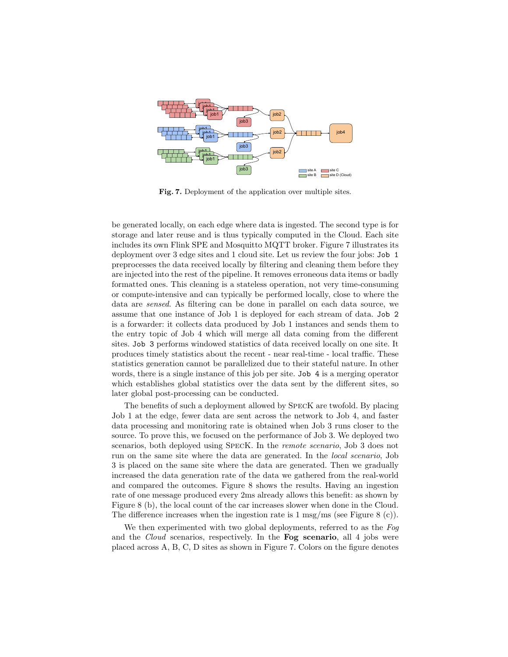

Fig. 7. Deployment of the application over multiple sites.

be generated locally, on each edge where data is ingested. The second type is for storage and later reuse and is thus typically computed in the Cloud. Each site includes its own Flink SPE and Mosquitto MQTT broker. Figure 7 illustrates its deployment over 3 edge sites and 1 cloud site. Let us review the four jobs: Job 1 preprocesses the data received locally by filtering and cleaning them before they are injected into the rest of the pipeline. It removes erroneous data items or badly formatted ones. This cleaning is a stateless operation, not very time-consuming or compute-intensive and can typically be performed locally, close to where the data are sensed. As filtering can be done in parallel on each data source, we assume that one instance of Job 1 is deployed for each stream of data. Job 2 is a forwarder: it collects data produced by Job 1 instances and sends them to the entry topic of Job 4 which will merge all data coming from the different sites. Job 3 performs windowed statistics of data received locally on one site. It produces timely statistics about the recent - near real-time - local traffic. These statistics generation cannot be parallelized due to their stateful nature. In other words, there is a single instance of this job per site. Job 4 is a merging operator which establishes global statistics over the data sent by the different sites, so later global post-processing can be conducted.

The benefits of such a deployment allowed by SpecK are twofold. By placing Job 1 at the edge, fewer data are sent across the network to Job 4, and faster data processing and monitoring rate is obtained when Job 3 runs closer to the source. To prove this, we focused on the performance of Job 3. We deployed two scenarios, both deployed using SpecK. In the remote scenario, Job 3 does not run on the same site where the data are generated. In the local scenario, Job 3 is placed on the same site where the data are generated. Then we gradually increased the data generation rate of the data we gathered from the real-world and compared the outcomes. Figure 8 shows the results. Having an ingestion rate of one message produced every 2ms already allows this benefit: as shown by Figure 8 (b), the local count of the car increases slower when done in the Cloud. The difference increases when the ingestion rate is 1 msg/ms (see Figure 8 (c)).

We then experimented with two global deployments, referred to as the Fog and the Cloud scenarios, respectively. In the Fog scenario, all 4 jobs were placed across A, B, C, D sites as shown in Figure 7. Colors on the figure denotes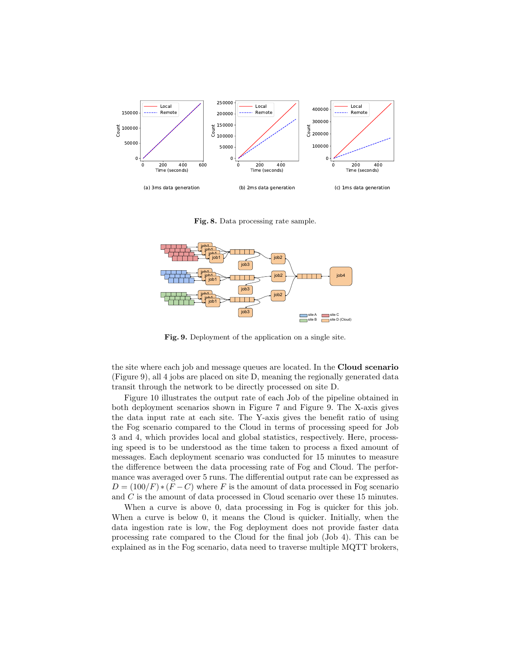

Fig. 8. Data processing rate sample.



Fig. 9. Deployment of the application on a single site.

the site where each job and message queues are located. In the Cloud scenario (Figure 9), all 4 jobs are placed on site D, meaning the regionally generated data transit through the network to be directly processed on site D.

Figure 10 illustrates the output rate of each Job of the pipeline obtained in both deployment scenarios shown in Figure 7 and Figure 9. The X-axis gives the data input rate at each site. The Y-axis gives the benefit ratio of using the Fog scenario compared to the Cloud in terms of processing speed for Job 3 and 4, which provides local and global statistics, respectively. Here, processing speed is to be understood as the time taken to process a fixed amount of messages. Each deployment scenario was conducted for 15 minutes to measure the difference between the data processing rate of Fog and Cloud. The performance was averaged over 5 runs. The differential output rate can be expressed as  $D = (100/F) * (F - C)$  where F is the amount of data processed in Fog scenario and C is the amount of data processed in Cloud scenario over these 15 minutes.

When a curve is above 0, data processing in Fog is quicker for this job. When a curve is below 0, it means the Cloud is quicker. Initially, when the data ingestion rate is low, the Fog deployment does not provide faster data processing rate compared to the Cloud for the final job (Job 4). This can be explained as in the Fog scenario, data need to traverse multiple MQTT brokers,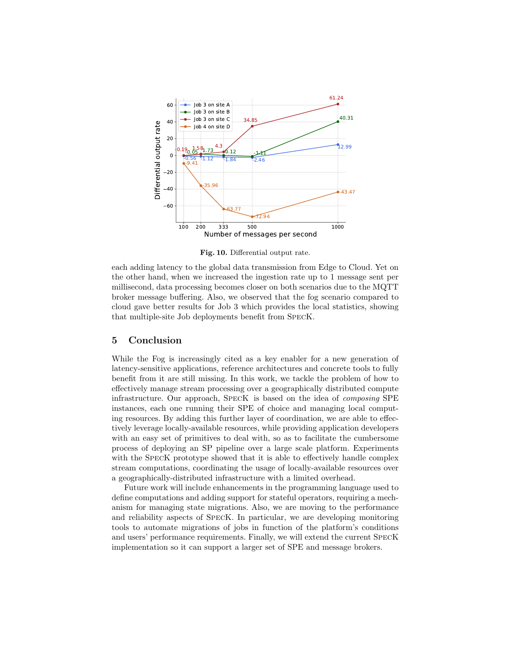

Fig. 10. Differential output rate.

each adding latency to the global data transmission from Edge to Cloud. Yet on the other hand, when we increased the ingestion rate up to 1 message sent per millisecond, data processing becomes closer on both scenarios due to the MQTT broker message buffering. Also, we observed that the fog scenario compared to cloud gave better results for Job 3 which provides the local statistics, showing that multiple-site Job deployments benefit from SpecK.

## 5 Conclusion

While the Fog is increasingly cited as a key enabler for a new generation of latency-sensitive applications, reference architectures and concrete tools to fully benefit from it are still missing. In this work, we tackle the problem of how to effectively manage stream processing over a geographically distributed compute infrastructure. Our approach, SpecK is based on the idea of composing SPE instances, each one running their SPE of choice and managing local computing resources. By adding this further layer of coordination, we are able to effectively leverage locally-available resources, while providing application developers with an easy set of primitives to deal with, so as to facilitate the cumbersome process of deploying an SP pipeline over a large scale platform. Experiments with the SpecK prototype showed that it is able to effectively handle complex stream computations, coordinating the usage of locally-available resources over a geographically-distributed infrastructure with a limited overhead.

Future work will include enhancements in the programming language used to define computations and adding support for stateful operators, requiring a mechanism for managing state migrations. Also, we are moving to the performance and reliability aspects of SpecK. In particular, we are developing monitoring tools to automate migrations of jobs in function of the platform's conditions and users' performance requirements. Finally, we will extend the current SpecK implementation so it can support a larger set of SPE and message brokers.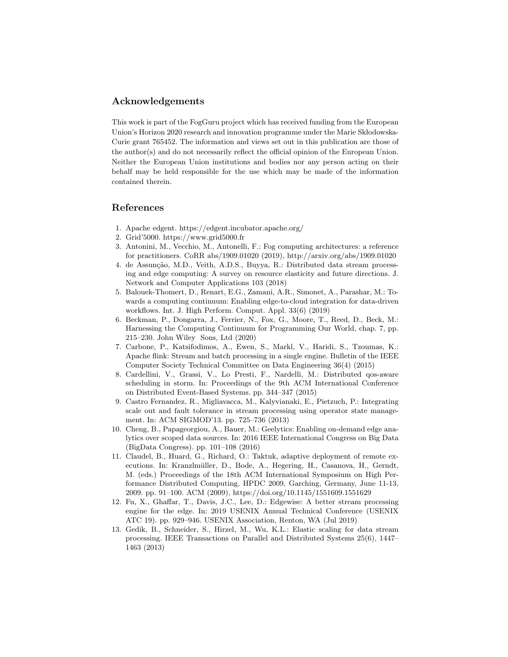# Acknowledgements

This work is part of the FogGuru project which has received funding from the European Union's Horizon 2020 research and innovation programme under the Marie Skłodowska-Curie grant 765452. The information and views set out in this publication are those of the author(s) and do not necessarily reflect the official opinion of the European Union. Neither the European Union institutions and bodies nor any person acting on their behalf may be held responsible for the use which may be made of the information contained therein.

## References

- 1. Apache edgent. https://edgent.incubator.apache.org/
- 2. Grid'5000. https://www.grid5000.fr
- 3. Antonini, M., Vecchio, M., Antonelli, F.: Fog computing architectures: a reference for practitioners. CoRR abs/1909.01020 (2019), http://arxiv.org/abs/1909.01020
- 4. de Assunção, M.D., Veith, A.D.S., Buyya, R.: Distributed data stream processing and edge computing: A survey on resource elasticity and future directions. J. Network and Computer Applications 103 (2018)
- 5. Balouek-Thomert, D., Renart, E.G., Zamani, A.R., Simonet, A., Parashar, M.: Towards a computing continuum: Enabling edge-to-cloud integration for data-driven workflows. Int. J. High Perform. Comput. Appl. 33(6) (2019)
- 6. Beckman, P., Dongarra, J., Ferrier, N., Fox, G., Moore, T., Reed, D., Beck, M.: Harnessing the Computing Continuum for Programming Our World, chap. 7, pp. 215–230. John Wiley Sons, Ltd (2020)
- 7. Carbone, P., Katsifodimos, A., Ewen, S., Markl, V., Haridi, S., Tzoumas, K.: Apache flink: Stream and batch processing in a single engine. Bulletin of the IEEE Computer Society Technical Committee on Data Engineering 36(4) (2015)
- 8. Cardellini, V., Grassi, V., Lo Presti, F., Nardelli, M.: Distributed qos-aware scheduling in storm. In: Proceedings of the 9th ACM International Conference on Distributed Event-Based Systems. pp. 344–347 (2015)
- 9. Castro Fernandez, R., Migliavacca, M., Kalyvianaki, E., Pietzuch, P.: Integrating scale out and fault tolerance in stream processing using operator state management. In: ACM SIGMOD'13. pp. 725–736 (2013)
- 10. Cheng, B., Papageorgiou, A., Bauer, M.: Geelytics: Enabling on-demand edge analytics over scoped data sources. In: 2016 IEEE International Congress on Big Data (BigData Congress). pp. 101–108 (2016)
- 11. Claudel, B., Huard, G., Richard, O.: Taktuk, adaptive deployment of remote executions. In: Kranzlmüller, D., Bode, A., Hegering, H., Casanova, H., Gerndt, M. (eds.) Proceedings of the 18th ACM International Symposium on High Performance Distributed Computing, HPDC 2009, Garching, Germany, June 11-13, 2009. pp. 91–100. ACM (2009), https://doi.org/10.1145/1551609.1551629
- 12. Fu, X., Ghaffar, T., Davis, J.C., Lee, D.: Edgewise: A better stream processing engine for the edge. In: 2019 USENIX Annual Technical Conference (USENIX ATC 19). pp. 929–946. USENIX Association, Renton, WA (Jul 2019)
- 13. Gedik, B., Schneider, S., Hirzel, M., Wu, K.L.: Elastic scaling for data stream processing. IEEE Transactions on Parallel and Distributed Systems 25(6), 1447– 1463 (2013)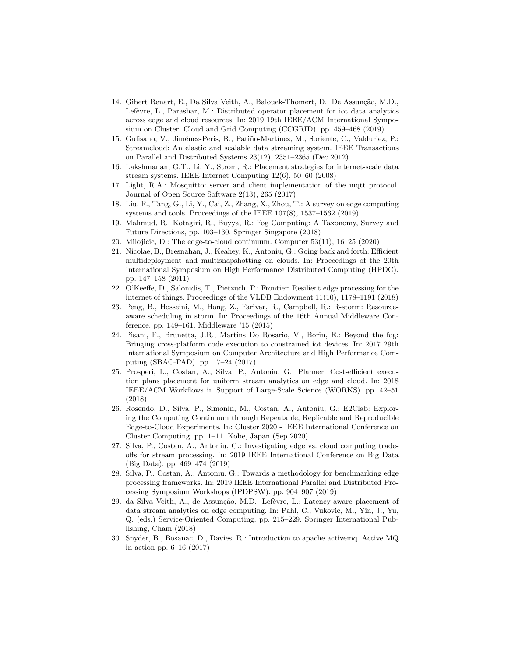- 14. Gibert Renart, E., Da Silva Veith, A., Balouek-Thomert, D., De Assunção, M.D., Lefevre, L., Parashar, M.: Distributed operator placement for iot data analytics across edge and cloud resources. In: 2019 19th IEEE/ACM International Symposium on Cluster, Cloud and Grid Computing (CCGRID). pp. 459–468 (2019)
- 15. Gulisano, V., Jiménez-Peris, R., Patiño-Martínez, M., Soriente, C., Valduriez, P.: Streamcloud: An elastic and scalable data streaming system. IEEE Transactions on Parallel and Distributed Systems 23(12), 2351–2365 (Dec 2012)
- 16. Lakshmanan, G.T., Li, Y., Strom, R.: Placement strategies for internet-scale data stream systems. IEEE Internet Computing 12(6), 50–60 (2008)
- 17. Light, R.A.: Mosquitto: server and client implementation of the mqtt protocol. Journal of Open Source Software 2(13), 265 (2017)
- 18. Liu, F., Tang, G., Li, Y., Cai, Z., Zhang, X., Zhou, T.: A survey on edge computing systems and tools. Proceedings of the IEEE 107(8), 1537–1562 (2019)
- 19. Mahmud, R., Kotagiri, R., Buyya, R.: Fog Computing: A Taxonomy, Survey and Future Directions, pp. 103–130. Springer Singapore (2018)
- 20. Milojicic, D.: The edge-to-cloud continuum. Computer 53(11), 16–25 (2020)
- 21. Nicolae, B., Bresnahan, J., Keahey, K., Antoniu, G.: Going back and forth: Efficient multideployment and multisnapshotting on clouds. In: Proceedings of the 20th International Symposium on High Performance Distributed Computing (HPDC). pp. 147–158 (2011)
- 22. O'Keeffe, D., Salonidis, T., Pietzuch, P.: Frontier: Resilient edge processing for the internet of things. Proceedings of the VLDB Endowment 11(10), 1178–1191 (2018)
- 23. Peng, B., Hosseini, M., Hong, Z., Farivar, R., Campbell, R.: R-storm: Resourceaware scheduling in storm. In: Proceedings of the 16th Annual Middleware Conference. pp. 149–161. Middleware '15 (2015)
- 24. Pisani, F., Brunetta, J.R., Martins Do Rosario, V., Borin, E.: Beyond the fog: Bringing cross-platform code execution to constrained iot devices. In: 2017 29th International Symposium on Computer Architecture and High Performance Computing (SBAC-PAD). pp. 17–24 (2017)
- 25. Prosperi, L., Costan, A., Silva, P., Antoniu, G.: Planner: Cost-efficient execution plans placement for uniform stream analytics on edge and cloud. In: 2018 IEEE/ACM Workflows in Support of Large-Scale Science (WORKS). pp. 42–51 (2018)
- 26. Rosendo, D., Silva, P., Simonin, M., Costan, A., Antoniu, G.: E2Clab: Exploring the Computing Continuum through Repeatable, Replicable and Reproducible Edge-to-Cloud Experiments. In: Cluster 2020 - IEEE International Conference on Cluster Computing. pp. 1–11. Kobe, Japan (Sep 2020)
- 27. Silva, P., Costan, A., Antoniu, G.: Investigating edge vs. cloud computing tradeoffs for stream processing. In: 2019 IEEE International Conference on Big Data (Big Data). pp. 469–474 (2019)
- 28. Silva, P., Costan, A., Antoniu, G.: Towards a methodology for benchmarking edge processing frameworks. In: 2019 IEEE International Parallel and Distributed Processing Symposium Workshops (IPDPSW). pp. 904–907 (2019)
- 29. da Silva Veith, A., de Assunção, M.D., Lefèvre, L.: Latency-aware placement of data stream analytics on edge computing. In: Pahl, C., Vukovic, M., Yin, J., Yu, Q. (eds.) Service-Oriented Computing. pp. 215–229. Springer International Publishing, Cham (2018)
- 30. Snyder, B., Bosanac, D., Davies, R.: Introduction to apache activemq. Active MQ in action pp. 6–16 (2017)